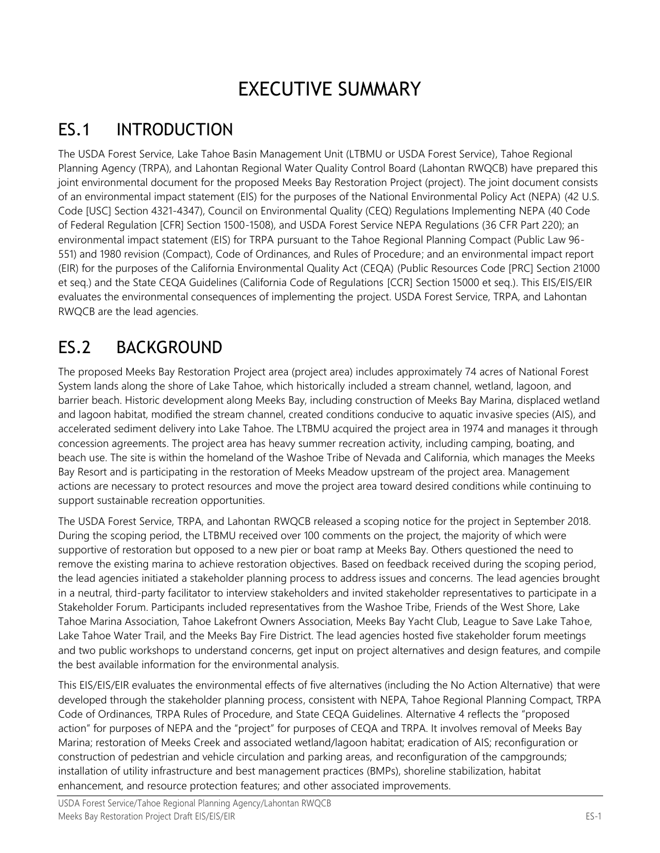# EXECUTIVE SUMMARY

## ES.1 INTRODUCTION

The USDA Forest Service, Lake Tahoe Basin Management Unit (LTBMU or USDA Forest Service), Tahoe Regional Planning Agency (TRPA), and Lahontan Regional Water Quality Control Board (Lahontan RWQCB) have prepared this joint environmental document for the proposed Meeks Bay Restoration Project (project). The joint document consists of an environmental impact statement (EIS) for the purposes of the National Environmental Policy Act (NEPA) (42 U.S. Code [USC] Section 4321-4347), Council on Environmental Quality (CEQ) Regulations Implementing NEPA (40 Code of Federal Regulation [CFR] Section 1500-1508), and USDA Forest Service NEPA Regulations (36 CFR Part 220); an environmental impact statement (EIS) for TRPA pursuant to the Tahoe Regional Planning Compact (Public Law 96- 551) and 1980 revision (Compact), Code of Ordinances, and Rules of Procedure; and an environmental impact report (EIR) for the purposes of the California Environmental Quality Act (CEQA) (Public Resources Code [PRC] Section 21000 et seq.) and the State CEQA Guidelines (California Code of Regulations [CCR] Section 15000 et seq.). This EIS/EIS/EIR evaluates the environmental consequences of implementing the project. USDA Forest Service, TRPA, and Lahontan RWQCB are the lead agencies.

## ES.2 BACKGROUND

The proposed Meeks Bay Restoration Project area (project area) includes approximately 74 acres of National Forest System lands along the shore of Lake Tahoe, which historically included a stream channel, wetland, lagoon, and barrier beach. Historic development along Meeks Bay, including construction of Meeks Bay Marina, displaced wetland and lagoon habitat, modified the stream channel, created conditions conducive to aquatic invasive species (AIS), and accelerated sediment delivery into Lake Tahoe. The LTBMU acquired the project area in 1974 and manages it through concession agreements. The project area has heavy summer recreation activity, including camping, boating, and beach use. The site is within the homeland of the Washoe Tribe of Nevada and California, which manages the Meeks Bay Resort and is participating in the restoration of Meeks Meadow upstream of the project area. Management actions are necessary to protect resources and move the project area toward desired conditions while continuing to support sustainable recreation opportunities.

The USDA Forest Service, TRPA, and Lahontan RWQCB released a scoping notice for the project in September 2018. During the scoping period, the LTBMU received over 100 comments on the project, the majority of which were supportive of restoration but opposed to a new pier or boat ramp at Meeks Bay. Others questioned the need to remove the existing marina to achieve restoration objectives. Based on feedback received during the scoping period, the lead agencies initiated a stakeholder planning process to address issues and concerns. The lead agencies brought in a neutral, third-party facilitator to interview stakeholders and invited stakeholder representatives to participate in a Stakeholder Forum. Participants included representatives from the Washoe Tribe, Friends of the West Shore, Lake Tahoe Marina Association, Tahoe Lakefront Owners Association, Meeks Bay Yacht Club, League to Save Lake Tahoe, Lake Tahoe Water Trail, and the Meeks Bay Fire District. The lead agencies hosted five stakeholder forum meetings and two public workshops to understand concerns, get input on project alternatives and design features, and compile the best available information for the environmental analysis.

This EIS/EIS/EIR evaluates the environmental effects of five alternatives (including the No Action Alternative) that were developed through the stakeholder planning process, consistent with NEPA, Tahoe Regional Planning Compact, TRPA Code of Ordinances, TRPA Rules of Procedure, and State CEQA Guidelines. Alternative 4 reflects the "proposed action" for purposes of NEPA and the "project" for purposes of CEQA and TRPA. It involves removal of Meeks Bay Marina; restoration of Meeks Creek and associated wetland/lagoon habitat; eradication of AIS; reconfiguration or construction of pedestrian and vehicle circulation and parking areas, and reconfiguration of the campgrounds; installation of utility infrastructure and best management practices (BMPs), shoreline stabilization, habitat enhancement, and resource protection features; and other associated improvements.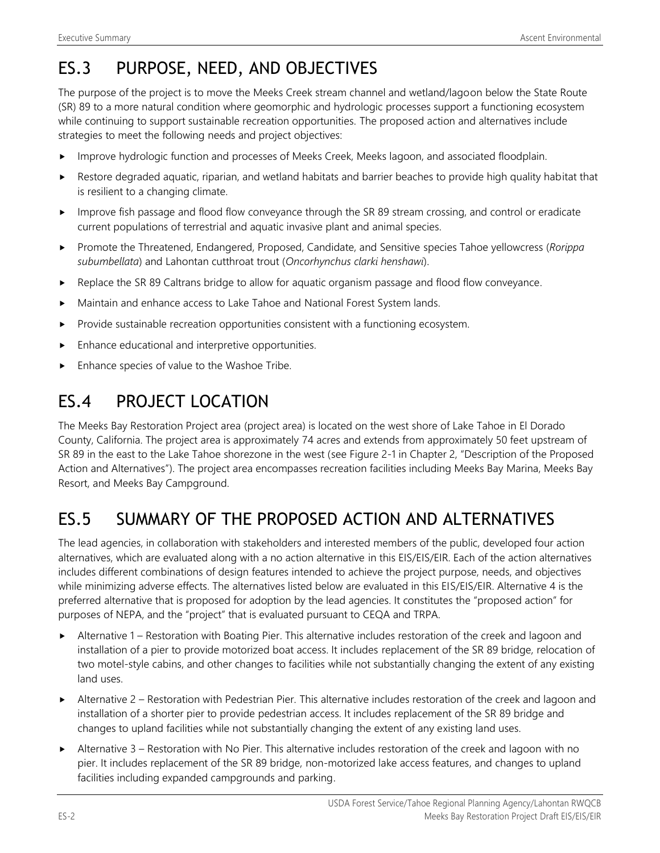## ES.3 PURPOSE, NEED, AND OBJECTIVES

The purpose of the project is to move the Meeks Creek stream channel and wetland/lagoon below the State Route (SR) 89 to a more natural condition where geomorphic and hydrologic processes support a functioning ecosystem while continuing to support sustainable recreation opportunities. The proposed action and alternatives include strategies to meet the following needs and project objectives:

- Improve hydrologic function and processes of Meeks Creek, Meeks lagoon, and associated floodplain.
- Restore degraded aquatic, riparian, and wetland habitats and barrier beaches to provide high quality habitat that is resilient to a changing climate.
- Improve fish passage and flood flow conveyance through the SR 89 stream crossing, and control or eradicate current populations of terrestrial and aquatic invasive plant and animal species.
- Promote the Threatened, Endangered, Proposed, Candidate, and Sensitive species Tahoe yellowcress (*Rorippa subumbellata*) and Lahontan cutthroat trout (*Oncorhynchus clarki henshawi*).
- $\blacktriangleright$  Replace the SR 89 Caltrans bridge to allow for aquatic organism passage and flood flow conveyance.
- Maintain and enhance access to Lake Tahoe and National Forest System lands.
- $\blacktriangleright$  Provide sustainable recreation opportunities consistent with a functioning ecosystem.
- Enhance educational and interpretive opportunities.
- Enhance species of value to the Washoe Tribe.

#### ES.4 PROJECT LOCATION

The Meeks Bay Restoration Project area (project area) is located on the west shore of Lake Tahoe in El Dorado County, California. The project area is approximately 74 acres and extends from approximately 50 feet upstream of SR 89 in the east to the Lake Tahoe shorezone in the west (see Figure 2-1 in Chapter 2, "Description of the Proposed Action and Alternatives"). The project area encompasses recreation facilities including Meeks Bay Marina, Meeks Bay Resort, and Meeks Bay Campground.

### ES.5 SUMMARY OF THE PROPOSED ACTION AND ALTERNATIVES

The lead agencies, in collaboration with stakeholders and interested members of the public, developed four action alternatives, which are evaluated along with a no action alternative in this EIS/EIS/EIR. Each of the action alternatives includes different combinations of design features intended to achieve the project purpose, needs, and objectives while minimizing adverse effects. The alternatives listed below are evaluated in this EIS/EIS/EIR. Alternative 4 is the preferred alternative that is proposed for adoption by the lead agencies. It constitutes the "proposed action" for purposes of NEPA, and the "project" that is evaluated pursuant to CEQA and TRPA.

- Alternative 1 Restoration with Boating Pier. This alternative includes restoration of the creek and lagoon and installation of a pier to provide motorized boat access. It includes replacement of the SR 89 bridge, relocation of two motel-style cabins, and other changes to facilities while not substantially changing the extent of any existing land uses.
- Alternative 2 Restoration with Pedestrian Pier. This alternative includes restoration of the creek and lagoon and installation of a shorter pier to provide pedestrian access. It includes replacement of the SR 89 bridge and changes to upland facilities while not substantially changing the extent of any existing land uses.
- Alternative 3 Restoration with No Pier. This alternative includes restoration of the creek and lagoon with no pier. It includes replacement of the SR 89 bridge, non-motorized lake access features, and changes to upland facilities including expanded campgrounds and parking.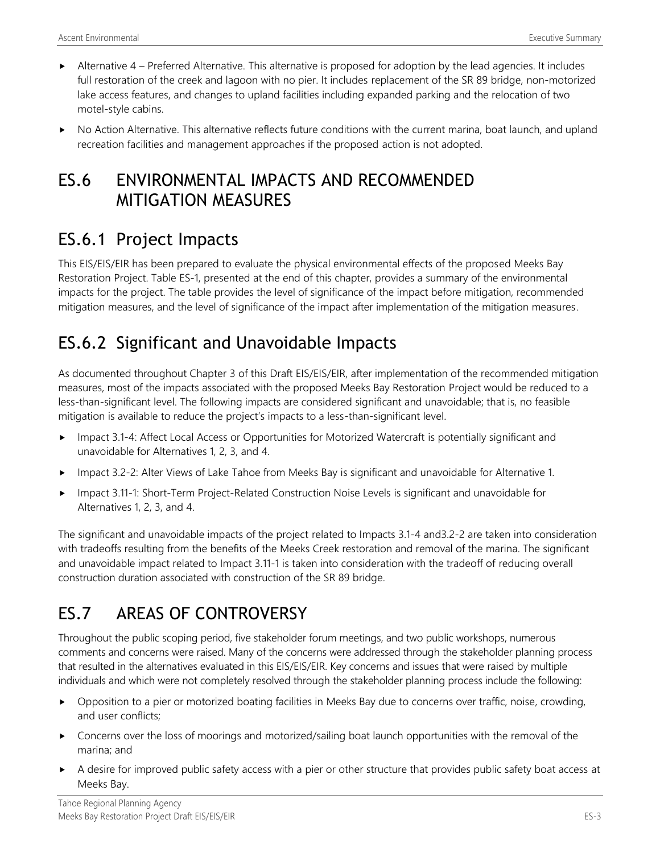- $\blacktriangleright$  Alternative 4 Preferred Alternative. This alternative is proposed for adoption by the lead agencies. It includes full restoration of the creek and lagoon with no pier. It includes replacement of the SR 89 bridge, non-motorized lake access features, and changes to upland facilities including expanded parking and the relocation of two motel-style cabins.
- No Action Alternative. This alternative reflects future conditions with the current marina, boat launch, and upland recreation facilities and management approaches if the proposed action is not adopted.

#### ES.6 ENVIRONMENTAL IMPACTS AND RECOMMENDED MITIGATION MEASURES

### ES.6.1 Project Impacts

This EIS/EIS/EIR has been prepared to evaluate the physical environmental effects of the proposed Meeks Bay Restoration Project. Table ES-1, presented at the end of this chapter, provides a summary of the environmental impacts for the project. The table provides the level of significance of the impact before mitigation, recommended mitigation measures, and the level of significance of the impact after implementation of the mitigation measures.

## ES.6.2 Significant and Unavoidable Impacts

As documented throughout Chapter 3 of this Draft EIS/EIS/EIR, after implementation of the recommended mitigation measures, most of the impacts associated with the proposed Meeks Bay Restoration Project would be reduced to a less-than-significant level. The following impacts are considered significant and unavoidable; that is, no feasible mitigation is available to reduce the project's impacts to a less-than-significant level.

- Impact 3.1-4: Affect Local Access or Opportunities for Motorized Watercraft is potentially significant and unavoidable for Alternatives 1, 2, 3, and 4.
- ► Impact 3.2-2: Alter Views of Lake Tahoe from Meeks Bay is significant and unavoidable for Alternative 1.
- Impact 3.11-1: Short-Term Project-Related Construction Noise Levels is significant and unavoidable for Alternatives 1, 2, 3, and 4.

The significant and unavoidable impacts of the project related to Impacts 3.1-4 and3.2-2 are taken into consideration with tradeoffs resulting from the benefits of the Meeks Creek restoration and removal of the marina. The significant and unavoidable impact related to Impact 3.11-1 is taken into consideration with the tradeoff of reducing overall construction duration associated with construction of the SR 89 bridge.

## ES.7 AREAS OF CONTROVERSY

Throughout the public scoping period, five stakeholder forum meetings, and two public workshops, numerous comments and concerns were raised. Many of the concerns were addressed through the stakeholder planning process that resulted in the alternatives evaluated in this EIS/EIS/EIR. Key concerns and issues that were raised by multiple individuals and which were not completely resolved through the stakeholder planning process include the following:

- Opposition to a pier or motorized boating facilities in Meeks Bay due to concerns over traffic, noise, crowding, and user conflicts;
- Concerns over the loss of moorings and motorized/sailing boat launch opportunities with the removal of the marina; and
- A desire for improved public safety access with a pier or other structure that provides public safety boat access at Meeks Bay.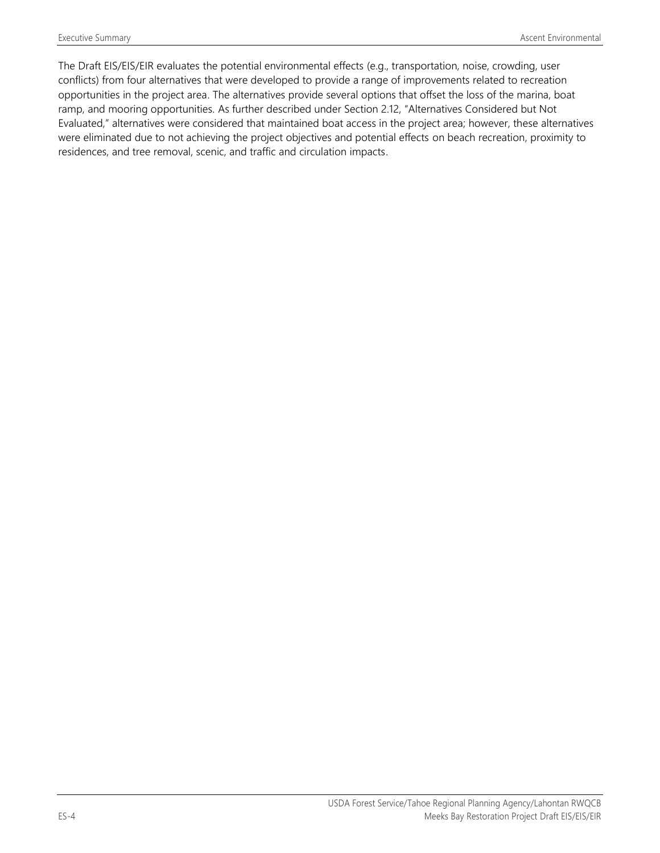The Draft EIS/EIS/EIR evaluates the potential environmental effects (e.g., transportation, noise, crowding, user conflicts) from four alternatives that were developed to provide a range of improvements related to recreation opportunities in the project area. The alternatives provide several options that offset the loss of the marina, boat ramp, and mooring opportunities. As further described under Section 2.12, "Alternatives Considered but Not Evaluated," alternatives were considered that maintained boat access in the project area; however, these alternatives were eliminated due to not achieving the project objectives and potential effects on beach recreation, proximity to residences, and tree removal, scenic, and traffic and circulation impacts.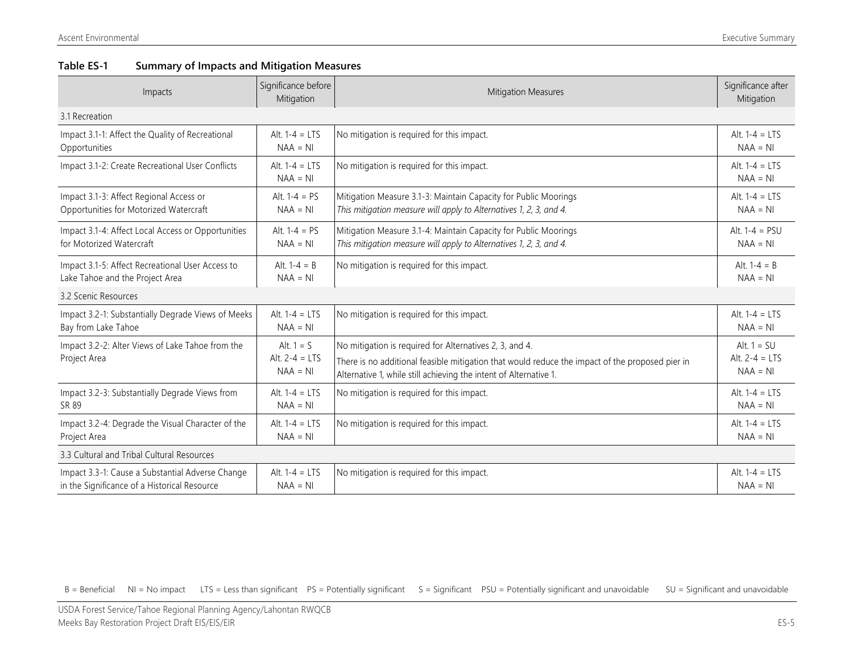#### **Table ES-1 Summary of Impacts and Mitigation Measures**

| Impacts                                            | Significance before<br>Mitigation | <b>Mitigation Measures</b>                                                                      | Significance after<br>Mitigation |
|----------------------------------------------------|-----------------------------------|-------------------------------------------------------------------------------------------------|----------------------------------|
| 3.1 Recreation                                     |                                   |                                                                                                 |                                  |
| Impact 3.1-1: Affect the Quality of Recreational   | Alt. $1-4 = LTS$                  | No mitigation is required for this impact.                                                      | Alt. $1-4 = LTS$                 |
| Opportunities                                      | $NAA = NI$                        |                                                                                                 | $NAA = NI$                       |
| Impact 3.1-2: Create Recreational User Conflicts   | Alt. $1-4 = LTS$<br>$NAA = NI$    | No mitigation is required for this impact.                                                      | Alt. $1-4 = LTS$<br>$NAA = NI$   |
| Impact 3.1-3: Affect Regional Access or            | Alt. $1 - 4 = PS$                 | Mitigation Measure 3.1-3: Maintain Capacity for Public Moorings                                 | Alt. $1-4 = LTS$                 |
| Opportunities for Motorized Watercraft             | $NAA = NI$                        | This mitigation measure will apply to Alternatives 1, 2, 3, and 4.                              | $NAA = NI$                       |
| Impact 3.1-4: Affect Local Access or Opportunities | Alt. $1-4 = PS$                   | Mitigation Measure 3.1-4: Maintain Capacity for Public Moorings                                 | Alt. $1-4 = PSU$                 |
| for Motorized Watercraft                           | $NAA = NI$                        | This mitigation measure will apply to Alternatives 1, 2, 3, and 4.                              | $NAA = NI$                       |
| Impact 3.1-5: Affect Recreational User Access to   | Alt. $1-4 = B$                    | No mitigation is required for this impact.                                                      | Alt. $1-4 = B$                   |
| Lake Tahoe and the Project Area                    | $NAA = NI$                        |                                                                                                 | $NAA = NI$                       |
| 3.2 Scenic Resources                               |                                   |                                                                                                 |                                  |
| Impact 3.2-1: Substantially Degrade Views of Meeks | Alt. $1-4 = LTS$                  | No mitigation is required for this impact.                                                      | Alt. $1-4 = LTS$                 |
| Bay from Lake Tahoe                                | $NAA = NI$                        |                                                                                                 | $NAA = NI$                       |
| Impact 3.2-2: Alter Views of Lake Tahoe from the   | Alt. $1 = S$                      | No mitigation is required for Alternatives 2, 3, and 4.                                         | Alt. $1 = SU$                    |
| Project Area                                       | Alt. $2-4 = LTS$                  | There is no additional feasible mitigation that would reduce the impact of the proposed pier in | Alt. $2-4 = LTS$                 |
|                                                    | $NAA = NI$                        | Alternative 1, while still achieving the intent of Alternative 1.                               | $NAA = NI$                       |
| Impact 3.2-3: Substantially Degrade Views from     | Alt. $1-4 = LTS$                  | No mitigation is required for this impact.                                                      | Alt. $1-4 = LTS$                 |
| SR 89                                              | $NAA = NI$                        |                                                                                                 | $NAA = NI$                       |
| Impact 3.2-4: Degrade the Visual Character of the  | Alt. $1-4 = LTS$                  | No mitigation is required for this impact.                                                      | Alt. $1-4 = LTS$                 |
| Project Area                                       | $NAA = NI$                        |                                                                                                 | $NAA = NI$                       |
| 3.3 Cultural and Tribal Cultural Resources         |                                   |                                                                                                 |                                  |
| Impact 3.3-1: Cause a Substantial Adverse Change   | Alt. $1-4 = LTS$                  | No mitigation is required for this impact.                                                      | Alt. $1-4 = LTS$                 |
| in the Significance of a Historical Resource       | $NAA = NI$                        |                                                                                                 | $NAA = NI$                       |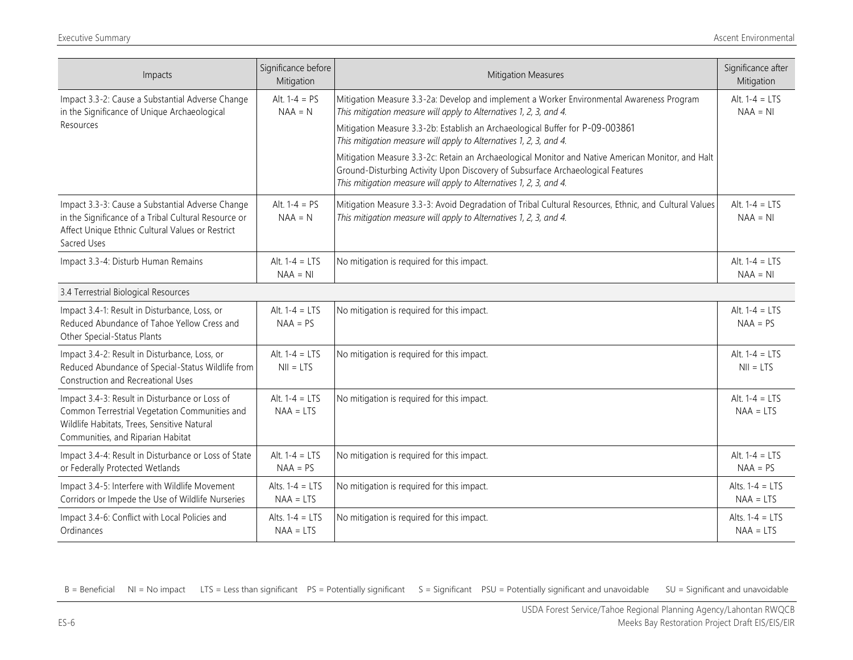| Impacts                                                                                                                                                                             | Significance before<br>Mitigation | <b>Mitigation Measures</b>                                                                                                                                                                                                                                                                                                                                                                                                                                                                                                                                                           | Significance after<br>Mitigation |
|-------------------------------------------------------------------------------------------------------------------------------------------------------------------------------------|-----------------------------------|--------------------------------------------------------------------------------------------------------------------------------------------------------------------------------------------------------------------------------------------------------------------------------------------------------------------------------------------------------------------------------------------------------------------------------------------------------------------------------------------------------------------------------------------------------------------------------------|----------------------------------|
| Impact 3.3-2: Cause a Substantial Adverse Change<br>in the Significance of Unique Archaeological<br>Resources                                                                       | Alt. $1-4 = PS$<br>$NAA = N$      | Mitigation Measure 3.3-2a: Develop and implement a Worker Environmental Awareness Program<br>This mitigation measure will apply to Alternatives 1, 2, 3, and 4.<br>Mitigation Measure 3.3-2b: Establish an Archaeological Buffer for P-09-003861<br>This mitigation measure will apply to Alternatives 1, 2, 3, and 4.<br>Mitigation Measure 3.3-2c: Retain an Archaeological Monitor and Native American Monitor, and Halt<br>Ground-Disturbing Activity Upon Discovery of Subsurface Archaeological Features<br>This mitigation measure will apply to Alternatives 1, 2, 3, and 4. | Alt. $1-4 = LTS$<br>$NAA = NI$   |
| Impact 3.3-3: Cause a Substantial Adverse Change<br>in the Significance of a Tribal Cultural Resource or<br>Affect Unique Ethnic Cultural Values or Restrict<br>Sacred Uses         | Alt. $1-4 = PS$<br>$NAA = N$      | Mitigation Measure 3.3-3: Avoid Degradation of Tribal Cultural Resources, Ethnic, and Cultural Values<br>This mitigation measure will apply to Alternatives 1, 2, 3, and 4.                                                                                                                                                                                                                                                                                                                                                                                                          | Alt. $1-4 = LTS$<br>$NAA = NI$   |
| Impact 3.3-4: Disturb Human Remains                                                                                                                                                 | Alt. $1-4 = LTS$<br>$NAA = NI$    | No mitigation is required for this impact.                                                                                                                                                                                                                                                                                                                                                                                                                                                                                                                                           | Alt. $1-4 = LTS$<br>$NAA = NI$   |
| 3.4 Terrestrial Biological Resources                                                                                                                                                |                                   |                                                                                                                                                                                                                                                                                                                                                                                                                                                                                                                                                                                      |                                  |
| Impact 3.4-1: Result in Disturbance, Loss, or<br>Reduced Abundance of Tahoe Yellow Cress and<br>Other Special-Status Plants                                                         | Alt. $1-4 = LTS$<br>$NAA = PS$    | No mitigation is required for this impact.                                                                                                                                                                                                                                                                                                                                                                                                                                                                                                                                           | Alt. $1-4 = LTS$<br>$NAA = PS$   |
| Impact 3.4-2: Result in Disturbance, Loss, or<br>Reduced Abundance of Special-Status Wildlife from<br>Construction and Recreational Uses                                            | Alt. $1-4 = LTS$<br>$NII = LTS$   | No mitigation is required for this impact.                                                                                                                                                                                                                                                                                                                                                                                                                                                                                                                                           | Alt. $1-4 = LTS$<br>$NII = LTS$  |
| Impact 3.4-3: Result in Disturbance or Loss of<br>Common Terrestrial Vegetation Communities and<br>Wildlife Habitats, Trees, Sensitive Natural<br>Communities, and Riparian Habitat | Alt. $1-4 = LTS$<br>$NAA = LTS$   | No mitigation is required for this impact.                                                                                                                                                                                                                                                                                                                                                                                                                                                                                                                                           | Alt. $1-4 = LTS$<br>$NAA = LTS$  |
| Impact 3.4-4: Result in Disturbance or Loss of State<br>or Federally Protected Wetlands                                                                                             | Alt. $1-4 = LTS$<br>$NAA = PS$    | No mitigation is required for this impact.                                                                                                                                                                                                                                                                                                                                                                                                                                                                                                                                           | Alt. $1-4 = LTS$<br>$NAA = PS$   |
| Impact 3.4-5: Interfere with Wildlife Movement<br>Corridors or Impede the Use of Wildlife Nurseries                                                                                 | Alts. $1-4 = LTS$<br>$NAA = LTS$  | No mitigation is required for this impact.                                                                                                                                                                                                                                                                                                                                                                                                                                                                                                                                           | Alts. $1-4 = LTS$<br>$NAA = LTS$ |
| Impact 3.4-6: Conflict with Local Policies and<br>Ordinances                                                                                                                        | Alts. $1-4 = LTS$<br>$NAA = LTS$  | No mitigation is required for this impact.                                                                                                                                                                                                                                                                                                                                                                                                                                                                                                                                           | Alts. $1-4 = LTS$<br>$NAA = LTS$ |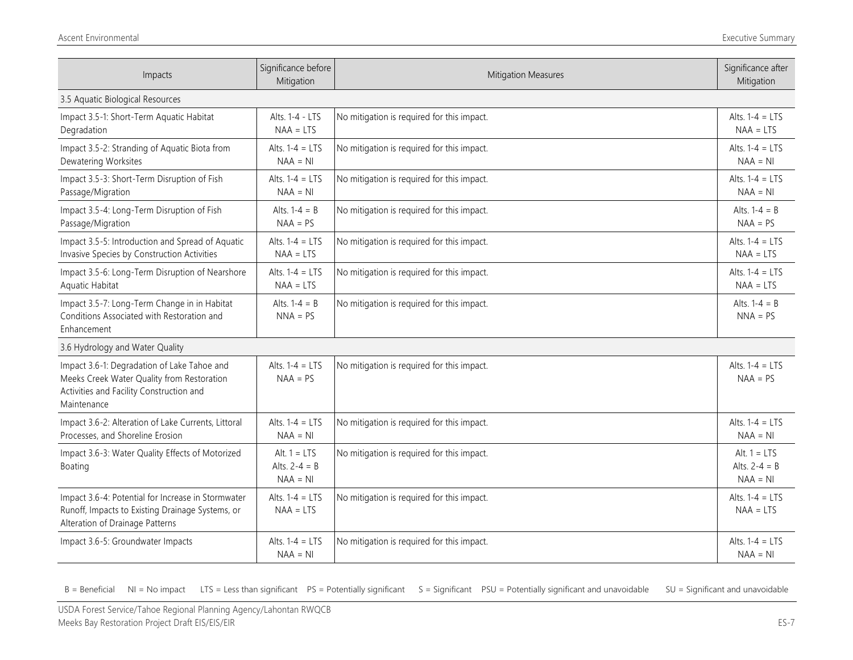| Impacts                                                                                                                                              | Significance before<br>Mitigation               | Mitigation Measures                        | Significance after<br>Mitigation                |
|------------------------------------------------------------------------------------------------------------------------------------------------------|-------------------------------------------------|--------------------------------------------|-------------------------------------------------|
| 3.5 Aquatic Biological Resources                                                                                                                     |                                                 |                                            |                                                 |
| Impact 3.5-1: Short-Term Aquatic Habitat<br>Degradation                                                                                              | Alts. 1-4 - LTS<br>$NAA = LTS$                  | No mitigation is required for this impact. | Alts. $1-4 = LTS$<br>$NAA = LTS$                |
| Impact 3.5-2: Stranding of Aquatic Biota from<br>Dewatering Worksites                                                                                | Alts. $1-4 = LTS$<br>$NAA = NI$                 | No mitigation is required for this impact. | Alts. $1-4 = LTS$<br>$NAA = NI$                 |
| Impact 3.5-3: Short-Term Disruption of Fish<br>Passage/Migration                                                                                     | Alts. $1-4 = LTS$<br>$NAA = NI$                 | No mitigation is required for this impact. | Alts. $1-4 = LTS$<br>$NAA = NI$                 |
| Impact 3.5-4: Long-Term Disruption of Fish<br>Passage/Migration                                                                                      | Alts. $1-4 = B$<br>$NAA = PS$                   | No mitigation is required for this impact. | Alts. $1-4 = B$<br>$NAA = PS$                   |
| Impact 3.5-5: Introduction and Spread of Aquatic<br>Invasive Species by Construction Activities                                                      | Alts. $1-4 = LTS$<br>$NAA = LTS$                | No mitigation is required for this impact. | Alts. $1-4 = LTS$<br>$NAA = LTS$                |
| Impact 3.5-6: Long-Term Disruption of Nearshore<br>Aquatic Habitat                                                                                   | Alts. $1-4 = LTS$<br>$NAA = LTS$                | No mitigation is required for this impact. | Alts. $1-4 = LTS$<br>$NAA = LTS$                |
| Impact 3.5-7: Long-Term Change in in Habitat<br>Conditions Associated with Restoration and<br>Enhancement                                            | Alts. $1-4 = B$<br>$NNA = PS$                   | No mitigation is required for this impact. | Alts. $1-4 = B$<br>$NNA = PS$                   |
| 3.6 Hydrology and Water Quality                                                                                                                      |                                                 |                                            |                                                 |
| Impact 3.6-1: Degradation of Lake Tahoe and<br>Meeks Creek Water Quality from Restoration<br>Activities and Facility Construction and<br>Maintenance | Alts. $1-4 = LTS$<br>$NAA = PS$                 | No mitigation is required for this impact. | Alts. $1-4 = LTS$<br>$NAA = PS$                 |
| Impact 3.6-2: Alteration of Lake Currents, Littoral<br>Processes, and Shoreline Erosion                                                              | Alts. $1-4 = LTS$<br>$NAA = NI$                 | No mitigation is required for this impact. | Alts. $1-4 = LTS$<br>$NAA = NI$                 |
| Impact 3.6-3: Water Quality Effects of Motorized<br>Boating                                                                                          | Alt. $1 = LTS$<br>Alts. $2-4 = B$<br>$NAA = NI$ | No mitigation is required for this impact. | Alt. $1 = LTS$<br>Alts. $2-4 = B$<br>$NAA = NI$ |
| Impact 3.6-4: Potential for Increase in Stormwater<br>Runoff, Impacts to Existing Drainage Systems, or<br>Alteration of Drainage Patterns            | Alts. $1-4 = LTS$<br>$NAA = LTS$                | No mitigation is required for this impact. | Alts. $1-4 = LTS$<br>$NAA = LTS$                |
| Impact 3.6-5: Groundwater Impacts                                                                                                                    | Alts. $1-4 = LTS$<br>$NAA = NI$                 | No mitigation is required for this impact. | Alts. $1-4 = LTS$<br>$NAA = NI$                 |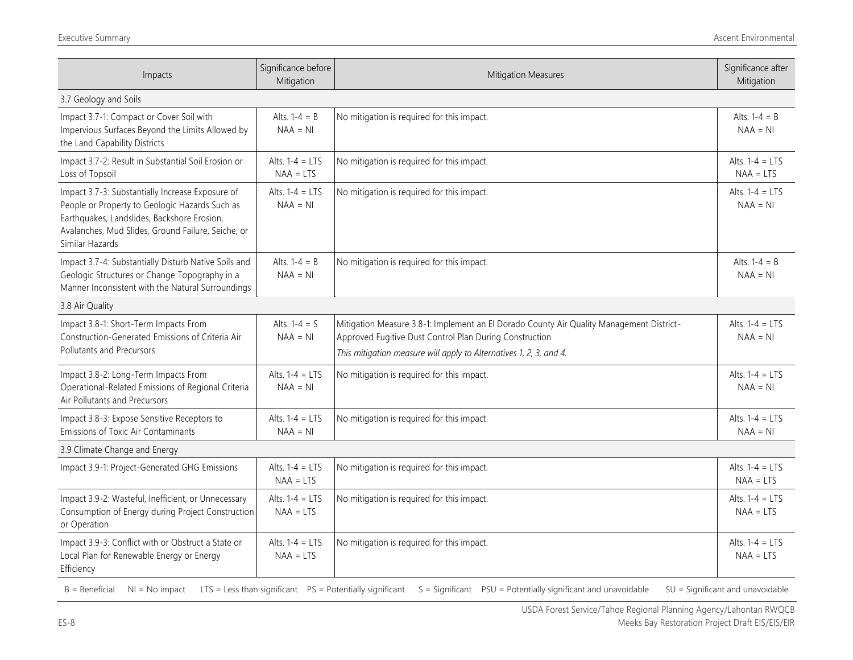| Impacts                                                                                                                                                                                                                    | Significance before<br>Mitigation | Mitigation Measures                                                                                                                                                                                                       | Significance after<br>Mitigation |
|----------------------------------------------------------------------------------------------------------------------------------------------------------------------------------------------------------------------------|-----------------------------------|---------------------------------------------------------------------------------------------------------------------------------------------------------------------------------------------------------------------------|----------------------------------|
| 3.7 Geology and Soils                                                                                                                                                                                                      |                                   |                                                                                                                                                                                                                           |                                  |
| Impact 3.7-1: Compact or Cover Soil with<br>Impervious Surfaces Beyond the Limits Allowed by<br>the Land Capability Districts                                                                                              | Alts. $1-4 = B$<br>$NAA = NI$     | No mitigation is required for this impact.                                                                                                                                                                                | Alts. $1-4 = B$<br>$NAA = NI$    |
| Impact 3.7-2: Result in Substantial Soil Erosion or<br>Loss of Topsoil                                                                                                                                                     | Alts. $1-4 = LTS$<br>$NAA = LTS$  | No mitigation is required for this impact.                                                                                                                                                                                | Alts. $1-4 = LTS$<br>$NAA = LTS$ |
| Impact 3.7-3: Substantially Increase Exposure of<br>People or Property to Geologic Hazards Such as<br>Earthquakes, Landslides, Backshore Erosion,<br>Avalanches, Mud Slides, Ground Failure, Seiche, or<br>Similar Hazards | Alts. $1-4 = LTS$<br>$NAA = NI$   | No mitigation is required for this impact.                                                                                                                                                                                | Alts. $1-4 = LTS$<br>$NAA = NI$  |
| Impact 3.7-4: Substantially Disturb Native Soils and<br>Geologic Structures or Change Topography in a<br>Manner Inconsistent with the Natural Surroundings                                                                 | Alts. $1-4 = B$<br>$NAA = NI$     | No mitigation is required for this impact.                                                                                                                                                                                | Alts. $1-4 = B$<br>$NAA = NI$    |
| 3.8 Air Quality                                                                                                                                                                                                            |                                   |                                                                                                                                                                                                                           |                                  |
| Impact 3.8-1: Short-Term Impacts From<br>Construction-Generated Emissions of Criteria Air<br>Pollutants and Precursors                                                                                                     | Alts. $1 - 4 = S$<br>$NAA = NI$   | Mitigation Measure 3.8-1: Implement an El Dorado County Air Quality Management District-<br>Approved Fugitive Dust Control Plan During Construction<br>This mitigation measure will apply to Alternatives 1, 2, 3, and 4. | Alts. $1-4 = LTS$<br>$NAA = NI$  |
| Impact 3.8-2: Long-Term Impacts From<br>Operational-Related Emissions of Regional Criteria<br>Air Pollutants and Precursors                                                                                                | Alts. $1-4 = LTS$<br>$NAA = NI$   | No mitigation is required for this impact.                                                                                                                                                                                | Alts. $1-4 = LTS$<br>$NAA = NI$  |
| Impact 3.8-3: Expose Sensitive Receptors to<br>Emissions of Toxic Air Contaminants                                                                                                                                         | Alts. $1-4 = LTS$<br>$NAA = NI$   | No mitigation is required for this impact.                                                                                                                                                                                | Alts. $1-4 = LTS$<br>$NAA = NI$  |
| 3.9 Climate Change and Energy                                                                                                                                                                                              |                                   |                                                                                                                                                                                                                           |                                  |
| Impact 3.9-1: Project-Generated GHG Emissions                                                                                                                                                                              | Alts. $1-4 = LTS$<br>$NAA = LTS$  | No mitigation is required for this impact.                                                                                                                                                                                | Alts. $1-4 = LTS$<br>$NAA = LTS$ |
| Impact 3.9-2: Wasteful, Inefficient, or Unnecessary<br>Consumption of Energy during Project Construction<br>or Operation                                                                                                   | Alts. $1-4 = LTS$<br>$NAA = LTS$  | No mitigation is required for this impact.                                                                                                                                                                                | Alts. $1-4 = LTS$<br>$NAA = LTS$ |
| Impact 3.9-3: Conflict with or Obstruct a State or<br>Local Plan for Renewable Energy or Energy<br>Efficiency                                                                                                              | Alts. $1-4 = LTS$<br>$NAA = LTS$  | No mitigation is required for this impact.                                                                                                                                                                                | Alts. $1-4 = LTS$<br>$NAA = LTS$ |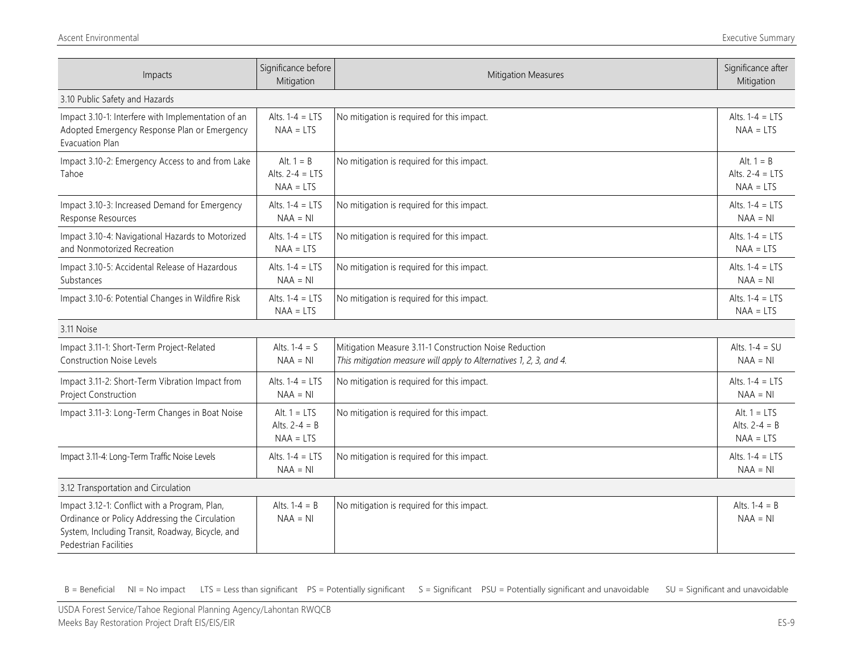| Impacts                                                                                                                                                                      | Significance before<br>Mitigation                | <b>Mitigation Measures</b>                                                                                                   | Significance after<br>Mitigation                 |
|------------------------------------------------------------------------------------------------------------------------------------------------------------------------------|--------------------------------------------------|------------------------------------------------------------------------------------------------------------------------------|--------------------------------------------------|
| 3.10 Public Safety and Hazards                                                                                                                                               |                                                  |                                                                                                                              |                                                  |
| Impact 3.10-1: Interfere with Implementation of an<br>Adopted Emergency Response Plan or Emergency<br>Evacuation Plan                                                        | Alts. $1-4 = LTS$<br>$NAA = LTS$                 | No mitigation is required for this impact.                                                                                   | Alts. $1-4 = LTS$<br>$NAA = LTS$                 |
| Impact 3.10-2: Emergency Access to and from Lake<br>Tahoe                                                                                                                    | Alt. $1 = B$<br>Alts. $2-4 = LTS$<br>$NAA = LTS$ | No mitigation is required for this impact.                                                                                   | Alt. $1 = B$<br>Alts. $2-4 = LTS$<br>$NAA = LTS$ |
| Impact 3.10-3: Increased Demand for Emergency<br>Response Resources                                                                                                          | Alts. $1-4 = LTS$<br>$NAA = NI$                  | No mitigation is required for this impact.                                                                                   | Alts. $1-4 = LTS$<br>$NAA = NI$                  |
| Impact 3.10-4: Navigational Hazards to Motorized<br>and Nonmotorized Recreation                                                                                              | Alts. $1-4 = LTS$<br>$NAA = LTS$                 | No mitigation is required for this impact.                                                                                   | Alts. $1-4 = LTS$<br>$NAA = LTS$                 |
| Impact 3.10-5: Accidental Release of Hazardous<br>Substances                                                                                                                 | Alts. $1-4 = LTS$<br>$NAA = NI$                  | No mitigation is required for this impact.                                                                                   | Alts. $1-4 = LTS$<br>$NAA = NI$                  |
| Impact 3.10-6: Potential Changes in Wildfire Risk                                                                                                                            | Alts. $1-4 = LTS$<br>$NAA = LTS$                 | No mitigation is required for this impact.                                                                                   | Alts. $1-4 = LTS$<br>$NAA = LTS$                 |
| 3.11 Noise                                                                                                                                                                   |                                                  |                                                                                                                              |                                                  |
| Impact 3.11-1: Short-Term Project-Related<br><b>Construction Noise Levels</b>                                                                                                | Alts. $1-4 = S$<br>$NAA = NI$                    | Mitigation Measure 3.11-1 Construction Noise Reduction<br>This mitigation measure will apply to Alternatives 1, 2, 3, and 4. | Alts. $1-4 = SU$<br>$NAA = NI$                   |
| Impact 3.11-2: Short-Term Vibration Impact from<br>Project Construction                                                                                                      | Alts. $1-4 = LTS$<br>$NAA = NI$                  | No mitigation is required for this impact.                                                                                   | Alts. $1-4 = LTS$<br>$NAA = NI$                  |
| Impact 3.11-3: Long-Term Changes in Boat Noise                                                                                                                               | Alt. $1 = LTS$<br>Alts. $2-4 = B$<br>$NAA = LTS$ | No mitigation is required for this impact.                                                                                   | Alt. $1 = LTS$<br>Alts. $2-4 = B$<br>$NAA = LTS$ |
| Impact 3.11-4: Long-Term Traffic Noise Levels                                                                                                                                | Alts. $1-4 = LTS$<br>$NAA = NI$                  | No mitigation is required for this impact.                                                                                   | Alts. $1-4 = LTS$<br>$NAA = NI$                  |
| 3.12 Transportation and Circulation                                                                                                                                          |                                                  |                                                                                                                              |                                                  |
| Impact 3.12-1: Conflict with a Program, Plan,<br>Ordinance or Policy Addressing the Circulation<br>System, Including Transit, Roadway, Bicycle, and<br>Pedestrian Facilities | Alts. $1-4 = B$<br>$NAA = NI$                    | No mitigation is required for this impact.                                                                                   | Alts. $1-4 = B$<br>$NAA = NI$                    |